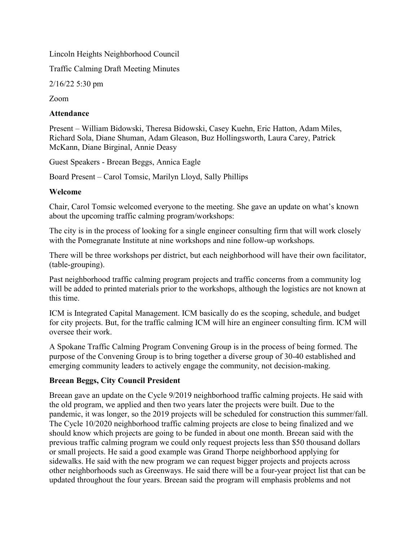Lincoln Heights Neighborhood Council

Traffic Calming Draft Meeting Minutes

2/16/22 5:30 pm

Zoom

## Attendance

Present – William Bidowski, Theresa Bidowski, Casey Kuehn, Eric Hatton, Adam Miles, Richard Sola, Diane Shuman, Adam Gleason, Buz Hollingsworth, Laura Carey, Patrick McKann, Diane Birginal, Annie Deasy

Guest Speakers - Breean Beggs, Annica Eagle

Board Present – Carol Tomsic, Marilyn Lloyd, Sally Phillips

#### Welcome

Chair, Carol Tomsic welcomed everyone to the meeting. She gave an update on what's known about the upcoming traffic calming program/workshops:

The city is in the process of looking for a single engineer consulting firm that will work closely with the Pomegranate Institute at nine workshops and nine follow-up workshops.

There will be three workshops per district, but each neighborhood will have their own facilitator, (table-grouping).

Past neighborhood traffic calming program projects and traffic concerns from a community log will be added to printed materials prior to the workshops, although the logistics are not known at this time.

ICM is Integrated Capital Management. ICM basically do es the scoping, schedule, and budget for city projects. But, for the traffic calming ICM will hire an engineer consulting firm. ICM will oversee their work.

A Spokane Traffic Calming Program Convening Group is in the process of being formed. The purpose of the Convening Group is to bring together a diverse group of 30-40 established and emerging community leaders to actively engage the community, not decision-making.

# Breean Beggs, City Council President

Breean gave an update on the Cycle 9/2019 neighborhood traffic calming projects. He said with the old program, we applied and then two years later the projects were built. Due to the pandemic, it was longer, so the 2019 projects will be scheduled for construction this summer/fall. The Cycle 10/2020 neighborhood traffic calming projects are close to being finalized and we should know which projects are going to be funded in about one month. Breean said with the previous traffic calming program we could only request projects less than \$50 thousand dollars or small projects. He said a good example was Grand Thorpe neighborhood applying for sidewalks. He said with the new program we can request bigger projects and projects across other neighborhoods such as Greenways. He said there will be a four-year project list that can be updated throughout the four years. Breean said the program will emphasis problems and not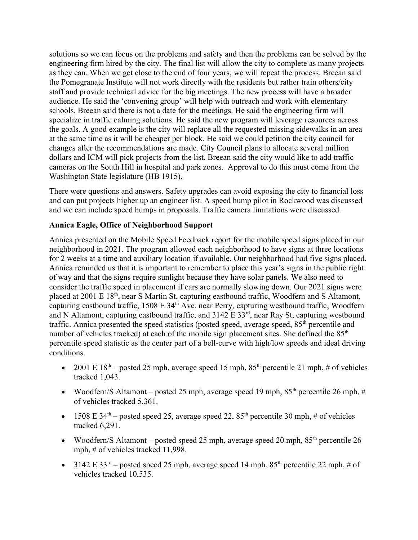solutions so we can focus on the problems and safety and then the problems can be solved by the engineering firm hired by the city. The final list will allow the city to complete as many projects as they can. When we get close to the end of four years, we will repeat the process. Breean said the Pomegranate Institute will not work directly with the residents but rather train others/city staff and provide technical advice for the big meetings. The new process will have a broader audience. He said the 'convening group' will help with outreach and work with elementary schools. Breean said there is not a date for the meetings. He said the engineering firm will specialize in traffic calming solutions. He said the new program will leverage resources across the goals. A good example is the city will replace all the requested missing sidewalks in an area at the same time as it will be cheaper per block. He said we could petition the city council for changes after the recommendations are made. City Council plans to allocate several million dollars and ICM will pick projects from the list. Breean said the city would like to add traffic cameras on the South Hill in hospital and park zones. Approval to do this must come from the Washington State legislature (HB 1915).

There were questions and answers. Safety upgrades can avoid exposing the city to financial loss and can put projects higher up an engineer list. A speed hump pilot in Rockwood was discussed and we can include speed humps in proposals. Traffic camera limitations were discussed.

# Annica Eagle, Office of Neighborhood Support

Annica presented on the Mobile Speed Feedback report for the mobile speed signs placed in our neighborhood in 2021. The program allowed each neighborhood to have signs at three locations for 2 weeks at a time and auxiliary location if available. Our neighborhood had five signs placed. Annica reminded us that it is important to remember to place this year's signs in the public right of way and that the signs require sunlight because they have solar panels. We also need to consider the traffic speed in placement if cars are normally slowing down. Our 2021 signs were placed at 2001 E 18<sup>th</sup>, near S Martin St, capturing eastbound traffic, Woodfern and S Altamont, capturing eastbound traffic, 1508 E 34<sup>th</sup> Ave, near Perry, capturing westbound traffic, Woodfern and N Altamont, capturing eastbound traffic, and 3142 E 33<sup>rd</sup>, near Ray St, capturing westbound traffic. Annica presented the speed statistics (posted speed, average speed,  $85<sup>th</sup>$  percentile and number of vehicles tracked) at each of the mobile sign placement sites. She defined the 85<sup>th</sup> percentile speed statistic as the center part of a bell-curve with high/low speeds and ideal driving conditions.

- 2001 E  $18<sup>th</sup>$  posted 25 mph, average speed 15 mph,  $85<sup>th</sup>$  percentile 21 mph, # of vehicles tracked 1,043.
- Woodfern/S Altamont posted 25 mph, average speed 19 mph,  $85<sup>th</sup>$  percentile 26 mph, # of vehicles tracked 5,361.
- 1508 E 34<sup>th</sup> posted speed 25, average speed 22, 85<sup>th</sup> percentile 30 mph, # of vehicles tracked 6,291.
- Woodfern/S Altamont posted speed 25 mph, average speed 20 mph,  $85<sup>th</sup>$  percentile 26 mph, # of vehicles tracked 11,998.
- 3142 E 33<sup>rd</sup> posted speed 25 mph, average speed 14 mph,  $85<sup>th</sup>$  percentile 22 mph, # of vehicles tracked 10,535.